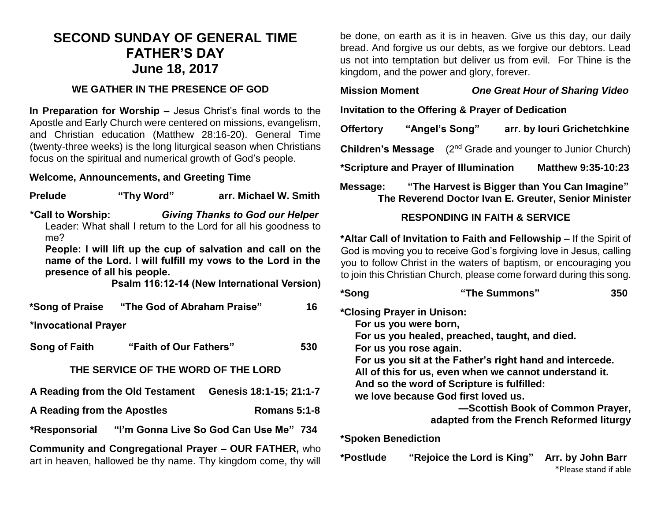## **SECOND SUNDAY OF GENERAL TIME FATHER'S DAY June 18, 2017**

#### **WE GATHER IN THE PRESENCE OF GOD**

**In Preparation for Worship –** Jesus Christ's final words to the Apostle and Early Church were centered on missions, evangelism, and Christian education (Matthew 28:16-20). General Time (twenty-three weeks) is the long liturgical season when Christians focus on the spiritual and numerical growth of God's people.

#### **Welcome, Announcements, and Greeting Time**

| <b>Prelude</b>                                                                                                           | "Thy Word"                                  | arr. Michael W. Smith                                                                                                                                                                                                                              |  |  |  |
|--------------------------------------------------------------------------------------------------------------------------|---------------------------------------------|----------------------------------------------------------------------------------------------------------------------------------------------------------------------------------------------------------------------------------------------------|--|--|--|
| me?<br>presence of all his people.                                                                                       |                                             | *Call to Worship: Giving Thanks to God our Helper<br>Leader: What shall I return to the Lord for all his goodness to<br>People: I will lift up the cup of salvation and call on the<br>name of the Lord. I will fulfill my vows to the Lord in the |  |  |  |
|                                                                                                                          |                                             | Psalm 116:12-14 (New International Version)                                                                                                                                                                                                        |  |  |  |
|                                                                                                                          | *Song of Praise "The God of Abraham Praise" | 16                                                                                                                                                                                                                                                 |  |  |  |
| *Invocational Prayer                                                                                                     |                                             |                                                                                                                                                                                                                                                    |  |  |  |
|                                                                                                                          | Song of Faith "Faith of Our Fathers"        | 530                                                                                                                                                                                                                                                |  |  |  |
| THE SERVICE OF THE WORD OF THE LORD                                                                                      |                                             |                                                                                                                                                                                                                                                    |  |  |  |
|                                                                                                                          |                                             | A Reading from the Old Testament Genesis 18:1-15; 21:1-7                                                                                                                                                                                           |  |  |  |
| <b>Romans 5:1-8</b><br>A Reading from the Apostles                                                                       |                                             |                                                                                                                                                                                                                                                    |  |  |  |
|                                                                                                                          |                                             | *Responsorial "I'm Gonna Live So God Can Use Me" 734                                                                                                                                                                                               |  |  |  |
| Community and Congregational Prayer - OUR FATHER, who<br>art in heaven, hallowed be thy name. Thy kingdom come, thy will |                                             |                                                                                                                                                                                                                                                    |  |  |  |

be done, on earth as it is in heaven. Give us this day, our daily bread. And forgive us our debts, as we forgive our debtors. Lead us not into temptation but deliver us from evil. For Thine is the kingdom, and the power and glory, forever.

**Mission Moment** *One Great Hour of Sharing Video*

**Invitation to the Offering & Prayer of Dedication**

| <b>Offertory</b>                      | "Angel's Song" |  | arr. by Iouri Grichetchkine                                                                          |  |
|---------------------------------------|----------------|--|------------------------------------------------------------------------------------------------------|--|
| <b>Children's Message</b>             |                |  | (2 <sup>nd</sup> Grade and younger to Junior Church)                                                 |  |
| *Scripture and Prayer of Illumination |                |  | <b>Matthew 9:35-10:23</b>                                                                            |  |
| Message:                              |                |  | "The Harvest is Bigger than You Can Imagine"<br>The Reverend Doctor Ivan E. Greuter, Senior Minister |  |

### **RESPONDING IN FAITH & SERVICE**

**\*Altar Call of Invitation to Faith and Fellowship –** If the Spirit of God is moving you to receive God's forgiving love in Jesus, calling you to follow Christ in the waters of baptism, or encouraging you to join this Christian Church, please come forward during this song.

| *Song                                    | "The Summons"                                            | 350                                        |  |  |  |
|------------------------------------------|----------------------------------------------------------|--------------------------------------------|--|--|--|
|                                          | *Closing Prayer in Unison:                               |                                            |  |  |  |
|                                          | For us you were born,                                    |                                            |  |  |  |
|                                          | For us you healed, preached, taught, and died.           |                                            |  |  |  |
|                                          | For us you rose again.                                   |                                            |  |  |  |
|                                          | For us you sit at the Father's right hand and intercede. |                                            |  |  |  |
|                                          | All of this for us, even when we cannot understand it.   |                                            |  |  |  |
|                                          | And so the word of Scripture is fulfilled:               |                                            |  |  |  |
|                                          | we love because God first loved us.                      |                                            |  |  |  |
|                                          |                                                          | -Scottish Book of Common Prayer,           |  |  |  |
| adapted from the French Reformed liturgy |                                                          |                                            |  |  |  |
| <b>*Spoken Benediction</b>               |                                                          |                                            |  |  |  |
| *Postlude                                | "Rejoice the Lord is King"                               | Arr. by John Barr<br>*Please stand if able |  |  |  |